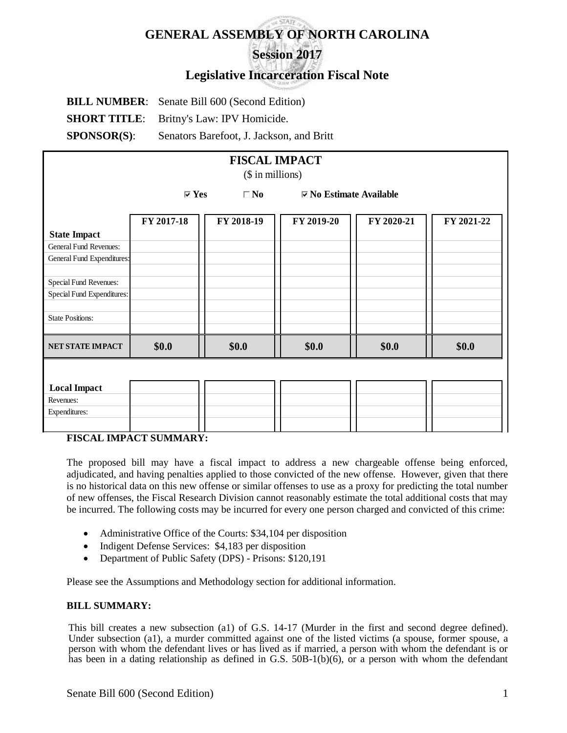# **GENERAL ASSEMBLY OF NORTH CAROLINA Session 2017**

# **Legislative Incarceration Fiscal Note**

**BILL NUMBER**: Senate Bill 600 (Second Edition) **SHORT TITLE**: Britny's Law: IPV Homicide. **SPONSOR(S)**: Senators Barefoot, J. Jackson, and Britt

| <b>FISCAL IMPACT</b>          |                                 |              |                                 |            |            |  |  |  |  |  |
|-------------------------------|---------------------------------|--------------|---------------------------------|------------|------------|--|--|--|--|--|
| (\$ in millions)              |                                 |              |                                 |            |            |  |  |  |  |  |
|                               | $\overline{\triangleright}$ Yes | $\square$ No | $\boxdot$ No Estimate Available |            |            |  |  |  |  |  |
|                               | FY 2017-18                      | FY 2018-19   | FY 2019-20                      | FY 2020-21 | FY 2021-22 |  |  |  |  |  |
| <b>State Impact</b>           |                                 |              |                                 |            |            |  |  |  |  |  |
| <b>General Fund Revenues:</b> |                                 |              |                                 |            |            |  |  |  |  |  |
| General Fund Expenditures:    |                                 |              |                                 |            |            |  |  |  |  |  |
| Special Fund Revenues:        |                                 |              |                                 |            |            |  |  |  |  |  |
| Special Fund Expenditures:    |                                 |              |                                 |            |            |  |  |  |  |  |
| <b>State Positions:</b>       |                                 |              |                                 |            |            |  |  |  |  |  |
| NET STATE IMPACT              | \$0.0\$                         | \$0.0\$      | \$0.0                           | \$0.0\$    | \$0.0\$    |  |  |  |  |  |
|                               |                                 |              |                                 |            |            |  |  |  |  |  |
|                               |                                 |              |                                 |            |            |  |  |  |  |  |
| <b>Local Impact</b>           |                                 |              |                                 |            |            |  |  |  |  |  |
| Revenues:                     |                                 |              |                                 |            |            |  |  |  |  |  |
| Expenditures:                 |                                 |              |                                 |            |            |  |  |  |  |  |
|                               |                                 |              |                                 |            |            |  |  |  |  |  |

# **FISCAL IMPACT SUMMARY:**

The proposed bill may have a fiscal impact to address a new chargeable offense being enforced, adjudicated, and having penalties applied to those convicted of the new offense. However, given that there is no historical data on this new offense or similar offenses to use as a proxy for predicting the total number of new offenses, the Fiscal Research Division cannot reasonably estimate the total additional costs that may be incurred. The following costs may be incurred for every one person charged and convicted of this crime:

- Administrative Office of the Courts: \$34,104 per disposition
- Indigent Defense Services: \$4,183 per disposition
- Department of Public Safety (DPS) Prisons: \$120,191

Please see the Assumptions and Methodology section for additional information.

#### **BILL SUMMARY:**

This bill creates a new subsection (a1) of G.S. 14-17 (Murder in the first and second degree defined). Under subsection (a1), a murder committed against one of the listed victims (a spouse, former spouse, a person with whom the defendant lives or has lived as if married, a person with whom the defendant is or has been in a dating relationship as defined in G.S.  $50B-1(b)(6)$ , or a person with whom the defendant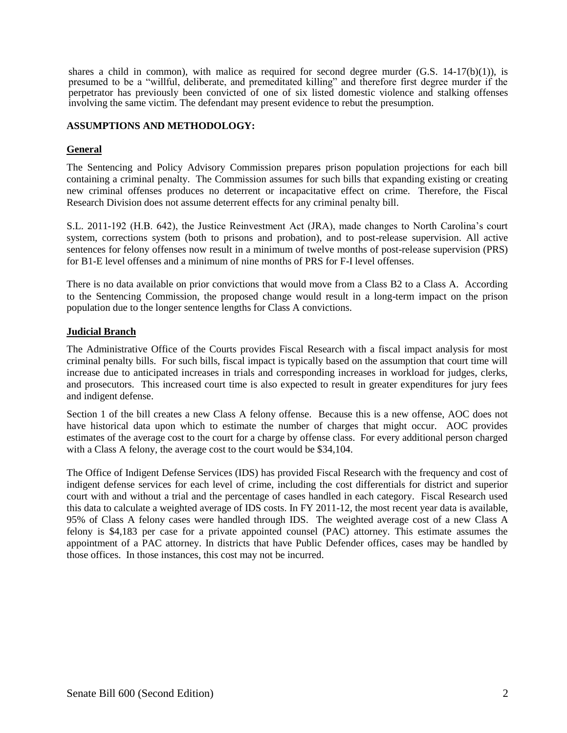shares a child in common), with malice as required for second degree murder  $(G.S. 14-17(b)(1))$ , is presumed to be a "willful, deliberate, and premeditated killing" and therefore first degree murder if the perpetrator has previously been convicted of one of six listed domestic violence and stalking offenses involving the same victim. The defendant may present evidence to rebut the presumption.

#### **ASSUMPTIONS AND METHODOLOGY:**

## **General**

The Sentencing and Policy Advisory Commission prepares prison population projections for each bill containing a criminal penalty. The Commission assumes for such bills that expanding existing or creating new criminal offenses produces no deterrent or incapacitative effect on crime. Therefore, the Fiscal Research Division does not assume deterrent effects for any criminal penalty bill.

S.L. 2011-192 (H.B. 642), the Justice Reinvestment Act (JRA), made changes to North Carolina's court system, corrections system (both to prisons and probation), and to post-release supervision. All active sentences for felony offenses now result in a minimum of twelve months of post-release supervision (PRS) for B1-E level offenses and a minimum of nine months of PRS for F-I level offenses.

There is no data available on prior convictions that would move from a Class B2 to a Class A. According to the Sentencing Commission, the proposed change would result in a long-term impact on the prison population due to the longer sentence lengths for Class A convictions.

## **Judicial Branch**

The Administrative Office of the Courts provides Fiscal Research with a fiscal impact analysis for most criminal penalty bills. For such bills, fiscal impact is typically based on the assumption that court time will increase due to anticipated increases in trials and corresponding increases in workload for judges, clerks, and prosecutors. This increased court time is also expected to result in greater expenditures for jury fees and indigent defense.

Section 1 of the bill creates a new Class A felony offense. Because this is a new offense, AOC does not have historical data upon which to estimate the number of charges that might occur. AOC provides estimates of the average cost to the court for a charge by offense class. For every additional person charged with a Class A felony, the average cost to the court would be \$34,104.

The Office of Indigent Defense Services (IDS) has provided Fiscal Research with the frequency and cost of indigent defense services for each level of crime, including the cost differentials for district and superior court with and without a trial and the percentage of cases handled in each category. Fiscal Research used this data to calculate a weighted average of IDS costs. In FY 2011-12, the most recent year data is available, 95% of Class A felony cases were handled through IDS. The weighted average cost of a new Class A felony is \$4,183 per case for a private appointed counsel (PAC) attorney. This estimate assumes the appointment of a PAC attorney. In districts that have Public Defender offices, cases may be handled by those offices. In those instances, this cost may not be incurred.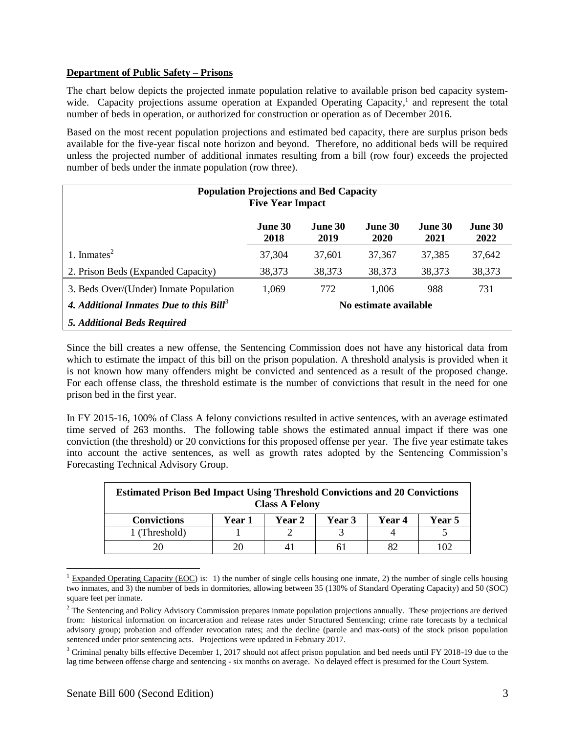#### **Department of Public Safety – Prisons**

The chart below depicts the projected inmate population relative to available prison bed capacity systemwide. Capacity projections assume operation at Expanded Operating Capacity,<sup>1</sup> and represent the total number of beds in operation, or authorized for construction or operation as of December 2016.

Based on the most recent population projections and estimated bed capacity, there are surplus prison beds available for the five-year fiscal note horizon and beyond. Therefore, no additional beds will be required unless the projected number of additional inmates resulting from a bill (row four) exceeds the projected number of beds under the inmate population (row three).

| <b>Population Projections and Bed Capacity</b><br><b>Five Year Impact</b> |                        |                        |                        |                 |                 |  |  |  |  |
|---------------------------------------------------------------------------|------------------------|------------------------|------------------------|-----------------|-----------------|--|--|--|--|
|                                                                           | <b>June 30</b><br>2018 | <b>June 30</b><br>2019 | June 30<br><b>2020</b> | June 30<br>2021 | June 30<br>2022 |  |  |  |  |
| 1. Inmates $^{2}$                                                         | 37,304                 | 37,601                 | 37,367                 | 37,385          | 37,642          |  |  |  |  |
| 2. Prison Beds (Expanded Capacity)                                        | 38,373                 | 38,373                 | 38,373                 | 38,373          | 38,373          |  |  |  |  |
| 3. Beds Over/(Under) Inmate Population                                    | 1,069                  | 772                    | 1,006                  | 988             | 731             |  |  |  |  |
| 4. Additional Inmates Due to this Bill <sup>3</sup>                       | No estimate available  |                        |                        |                 |                 |  |  |  |  |
| 5. Additional Beds Required                                               |                        |                        |                        |                 |                 |  |  |  |  |

Since the bill creates a new offense, the Sentencing Commission does not have any historical data from which to estimate the impact of this bill on the prison population. A threshold analysis is provided when it is not known how many offenders might be convicted and sentenced as a result of the proposed change. For each offense class, the threshold estimate is the number of convictions that result in the need for one prison bed in the first year.

In FY 2015-16, 100% of Class A felony convictions resulted in active sentences, with an average estimated time served of 263 months. The following table shows the estimated annual impact if there was one conviction (the threshold) or 20 convictions for this proposed offense per year. The five year estimate takes into account the active sentences, as well as growth rates adopted by the Sentencing Commission's Forecasting Technical Advisory Group.

| <b>Estimated Prison Bed Impact Using Threshold Convictions and 20 Convictions</b><br><b>Class A Felony</b> |        |        |               |        |        |  |  |  |  |
|------------------------------------------------------------------------------------------------------------|--------|--------|---------------|--------|--------|--|--|--|--|
| <b>Convictions</b>                                                                                         | Year 1 | Year 2 | <b>Year 3</b> | Year 4 | Year 5 |  |  |  |  |
| 1 (Threshold)                                                                                              |        |        |               |        |        |  |  |  |  |
| 20                                                                                                         |        |        |               |        |        |  |  |  |  |

<sup>&</sup>lt;sup>1</sup> Expanded Operating Capacity (EOC) is: 1) the number of single cells housing one inmate, 2) the number of single cells housing two inmates, and 3) the number of beds in dormitories, allowing between 35 (130% of Standard Operating Capacity) and 50 (SOC) square feet per inmate.

 $\overline{a}$ 

<sup>&</sup>lt;sup>2</sup> The Sentencing and Policy Advisory Commission prepares inmate population projections annually. These projections are derived from: historical information on incarceration and release rates under Structured Sentencing; crime rate forecasts by a technical advisory group; probation and offender revocation rates; and the decline (parole and max-outs) of the stock prison population sentenced under prior sentencing acts. Projections were updated in February 2017.

<sup>&</sup>lt;sup>3</sup> Criminal penalty bills effective December 1, 2017 should not affect prison population and bed needs until FY 2018-19 due to the lag time between offense charge and sentencing - six months on average. No delayed effect is presumed for the Court System.